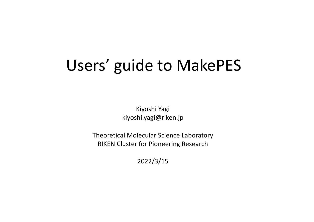# Users' guide to MakePES

Kiyoshi Yagi kiyoshi.yagi@riken.jp

Theoretical Molecular Science Laboratory RIKEN Cluster for Pioneering Research

2022/3/15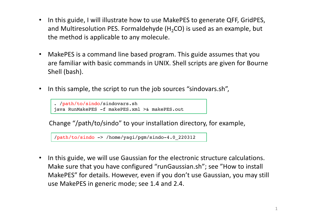- In this guide, I will illustrate how to use MakePES to generate QFF, GridPES, and Multiresolution PES. Formaldehyde  $(H_2CO)$  is used as an example, but the method is applicable to any molecule.
- MakePES is a command line based program. This guide assumes that you are familiar with basic commands in UNIX. Shell scripts are given for Bourne Shell (bash).
- In this sample, the script to run the job sources "sindovars.sh",

. /path/to/sindo/sindovars.sh java RunMakePES -f makePES.xml >& makePES.out

Change "/path/to/sindo" to your installation directory, for example,

/path/to/sindo -> /home/yagi/pgm/sindo-4.0\_220312

• In this guide, we will use Gaussian for the electronic structure calculations. Make sure that you have configured "runGaussian.sh"; see "How to install MakePES" for details. However, even if you don't use Gaussian, you may still use MakePES in generic mode; see 1.4 and 2.4.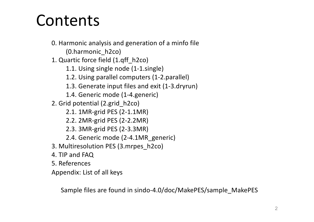# Contents

- 0. Harmonic analysis and generation of a minfo file (0.harmonic\_h2co)
- 1. Quartic force field (1.qff\_h2co)
	- 1.1. Using single node (1-1.single)
	- 1.2. Using parallel computers (1-2.parallel)
	- 1.3. Generate input files and exit (1-3.dryrun)
	- 1.4. Generic mode (1-4.generic)
- 2. Grid potential (2.grid\_h2co)
	- 2.1. 1MR-grid PES (2-1.1MR)
	- 2.2. 2MR-grid PES (2-2.2MR)
	- 2.3. 3MR-grid PES (2-3.3MR)
	- 2.4. Generic mode (2-4.1MR\_generic)
- 3. Multiresolution PES (3.mrpes\_h2co)
- 4. TIP and FAQ
- 5. References
- Appendix: List of all keys

Sample files are found in sindo-4.0/doc/MakePES/sample\_MakePES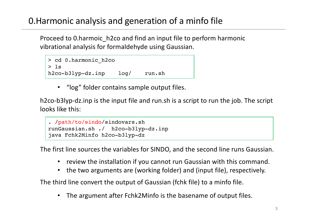# 0.Harmonic analysis and generation of a minfo file

Proceed to 0.harmoic\_h2co and find an input file to perform harmonic vibrational analysis for formaldehyde using Gaussian.

```
> cd 0.harmonic_h2co
> ls
h2co-b3lyp-dz.inp log/ run.sh
```
• "log" folder contains sample output files.

h2co-b3lyp-dz.inp is the input file and run.sh is a script to run the job. The script looks like this:

```
. /path/to/sindo/sindovars.sh
runGaussian.sh ./ h2co-b3lyp-dz.inp
java Fchk2Minfo h2co-b3lyp-dz
```
The first line sources the variables for SINDO, and the second line runs Gaussian.

- review the installation if you cannot run Gaussian with this command.
- the two arguments are (working folder) and (input file), respectively.

The third line convert the output of Gaussian (fchk file) to a minfo file.

The argument after Fchk2Minfo is the basename of output files.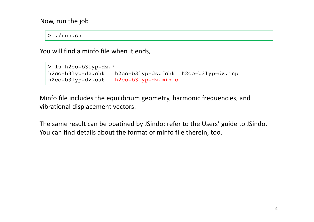Now, run the job

> ./run.sh

You will find a minfo file when it ends,

```
> ls h2co-b3lyp-dz.*
h2co-b3lyp-dz.chk h2co-b3lyp-dz.fchk h2co-b3lyp-dz.inp 
h2co-b3lyp-dz.out h2co-b3lyp-dz.minfo
```
Minfo file includes the equilibrium geometry, harmonic frequencies, and vibrational displacement vectors.

The same result can be obatined by JSindo; refer to the Users' guide to JSindo. You can find details about the format of minfo file therein, too.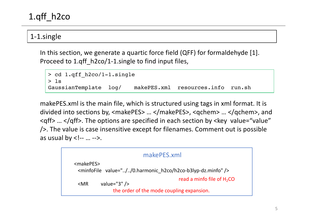# 1.qff\_h2co

#### 1-1.single

In this section, we generate a quartic force field (QFF) for formaldehyde [1]. Proceed to 1.qff h2co/1-1.single to find input files,

```
> cd 1.qff_h2co/1-1.single
> ls
GaussianTemplate log/ makePES.xml resources.info run.sh
```
makePES.xml is the main file, which is structured using tags in xml format. It is divided into sections by, <makePES> … </makePES>, <qchem> … </qchem>, and <qff> … </qff>. The options are specified in each section by <key value="value" />. The value is case insensitive except for filenames. Comment out is possible as usual by  $\lt!$ !-- ... -->.

| makePES.xml                                                                                            |  |  |  |  |  |
|--------------------------------------------------------------------------------------------------------|--|--|--|--|--|
| <makepes><br/><minfofile value="//0.harmonic h2co/h2co-b3lyp-dz.minfo"></minfofile></makepes>          |  |  |  |  |  |
| read a minfo file of $H_2CO$<br>value=" $3"$ /><br>$<$ MR<br>the order of the mode coupling expansion. |  |  |  |  |  |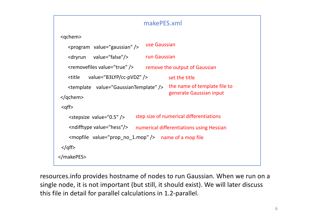## makePES.xml

```
<qchem>
   <program value="gaussian" />
   <dryrun value="false"/>
   <removefiles value="true" />
   <title value="B3LYP/cc-pVDZ" />
   <template value="GaussianTemplate" />
</qchem>
 <aff<stepsize value="0.5" />
    <ndifftype value="hess"/>
    <mopfile value="prop_no_1.mop" />
name of a mop file
 </qff>
                                   use Gaussian
                                  run Gaussian
                                   remove the output of Gaussian
                                            set the title
                                            the name of template file to 
                                            generate Gaussian input
                               step size of numerical differentiations
                              numerical differentiations using Hessian 
</makePES>
```
resources.info provides hostname of nodes to run Gaussian. When we run on a single node, it is not important (but still, it should exist). We will later discuss this file in detail for parallel calculations in 1.2-parallel.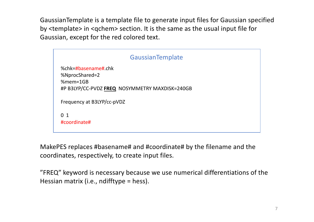GaussianTemplate is a template file to generate input files for Gaussian specified by <template> in <qchem> section. It is the same as the usual input file for Gaussian, except for the red colored text.



MakePES replaces #basename# and #coordinate# by the filename and the coordinates, respectively, to create input files.

"FREQ" keyword is necessary because we use numerical differentiations of the Hessian matrix (i.e., ndifftype = hess).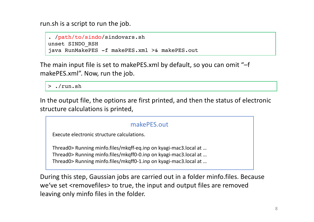run.sh is a script to run the job.

```
. /path/to/sindo/sindovars.sh
unset SINDO_RSH
java RunMakePES -f makePES.xml >& makePES.out
```
The main input file is set to makePES.xml by default, so you can omit "–f makePES.xml". Now, run the job.

> ./run.sh

In the output file, the options are first printed, and then the status of electronic structure calculations is printed,

#### makePFS out

Execute electronic structure calculations.

Thread0> Running minfo.files/mkqff-eq.inp on kyagi-mac3.local at … Thread0> Running minfo.files/mkqff0-0.inp on kyagi-mac3.local at … Thread0> Running minfo.files/mkqff0-1.inp on kyagi-mac3.local at …

During this step, Gaussian jobs are carried out in a folder minfo.files. Because we've set <removefiles> to true, the input and output files are removed leaving only minfo files in the folder.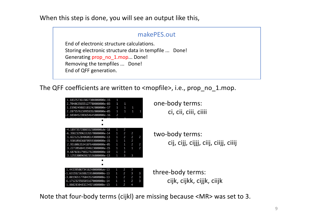When this step is done, you will see an output like this,

#### makePES.out

End of electronic structure calculations. Storing electronic structure data in tempfile ... Done! Generating prop\_no\_1.mop... Done! Removing the tempfiles ... Done! End of QFF generation.

The QFF coefficients are written to <mopfile>, i.e., prop\_no\_1.mop.

| 1.1832573615027308000000e-15<br>2.7040635655127780000000e-03<br>1.1590249883181242000000e-17<br>2.2875576159959352000000e-05<br>-2.1030452203654645000000e-16<br>■                                                                                              | $\mathbf{1}$<br>$\mathbf{1}$<br>$\mathbf{1}$<br>$\mathbf{1}$<br>2                                                            | $\bullet$<br>$\blacksquare$<br>$\overline{1}$                                                                          | $\overline{1}$<br>$\overline{1}$                     |                                                           | one-body terms:<br>ci, cii, ciii, ciiii                 |
|-----------------------------------------------------------------------------------------------------------------------------------------------------------------------------------------------------------------------------------------------------------------|------------------------------------------------------------------------------------------------------------------------------|------------------------------------------------------------------------------------------------------------------------|------------------------------------------------------|-----------------------------------------------------------|---------------------------------------------------------|
| -4.1897357280855250000000e-18<br>-6.3982329963326570000000e-14<br>1.8221212840606143000000e-13<br>-1.9301098360709593000000e-15<br>2.9510063534107640000000e-05<br>3.2272058841394823000000e-15<br>9.6870281798527820000000e-19<br>3.1255300969821536000000e-13 | $\mathbf{1}$<br>$\mathbf{1}$<br>$\mathbf{1}$<br>$\mathbf{1}$<br>$\mathbf{1}$<br>$\mathbf{1}$<br>$\mathbf{1}$<br>$\mathbf{1}$ | 2<br>$\bullet$<br>$\overline{2}$<br>$\overline{1}$<br>$\mathbf{1}$<br>$\overline{1}$<br>$\overline{3}$<br>$\mathbf{3}$ | 2<br>2<br>2<br>$\overline{2}$<br>$\overline{1}$<br>3 | $\overline{\phantom{0}}$<br>2<br>$\overline{\phantom{0}}$ | two-body terms:<br>cij, ciji, cijij, ciij, ciiji, ciiji |
| п<br>п<br>1.443395067341624000000ve-13<br>-1.6315521638821910000000e-13<br>-3.0819651776043526000000e-13<br>6.1712325565851670000000e-14<br>1.8082830483224921000000e-13                                                                                        | 1<br>$\mathbf{1}$<br>$\mathbf{1}$<br>1<br>$\mathbf{1}$                                                                       | 2<br>2<br>$\overline{z}$<br>$\mathbf{1}$<br>$\overline{\phantom{0}}$                                                   | 3<br>$\overline{3}$<br>2<br>2<br>4                   | $\mathbf{3}$<br>3<br>3                                    | three-body terms:<br>cijk, cijkk, cijjk, cijjk          |

Note that four-body terms (cijkl) are missing because <MR> was set to 3.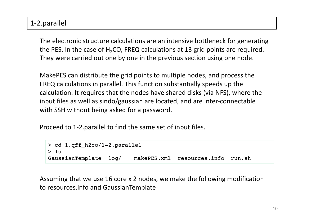## 1-2.parallel

The electronic structure calculations are an intensive bottleneck for generating the PES. In the case of  $H_2CO$ , FREQ calculations at 13 grid points are required. They were carried out one by one in the previous section using one node.

MakePES can distribute the grid points to multiple nodes, and process the FREQ calculations in parallel. This function substantially speeds up the calculation. It requires that the nodes have shared disks (via NFS), where the input files as well as sindo/gaussian are located, and are inter-connectable with SSH without being asked for a password.

Proceed to 1-2.parallel to find the same set of input files.

```
> cd 1.qff_h2co/1-2.parallel
> ls
GaussianTemplate log/ makePES.xml resources.info run.sh
```
Assuming that we use 16 core x 2 nodes, we make the following modification to resources.info and GaussianTemplate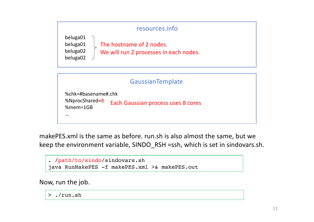

makePES.xml is the same as before. run.sh is also almost the same, but we keep the environment variable, SINDO\_RSH =ssh, which is set in sindovars.sh.

```
. /path/to/sindo/sindovars.sh
java RunMakePES -f makePES.xml >& makePES.out
```
Now, run the job.

> ./run.sh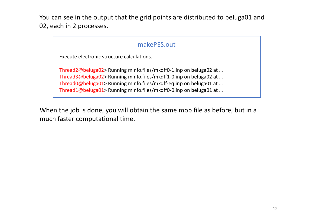You can see in the output that the grid points are distributed to beluga01 and 02, each in 2 processes.

## makePES.out

Execute electronic structure calculations.

Thread2@beluga02> Running minfo.files/mkqff0-1.inp on beluga02 at … Thread3@beluga02> Running minfo.files/mkqff1-0.inp on beluga02 at … Thread0@beluga01> Running minfo.files/mkqff-eq.inp on beluga01 at … Thread1@beluga01> Running minfo.files/mkqff0-0.inp on beluga01 at ...

When the job is done, you will obtain the same mop file as before, but in a much faster computational time.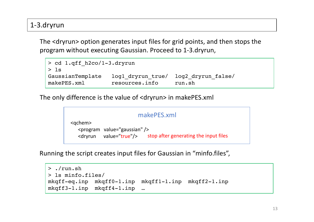# 1-3.dryrun

The <dryrun> option generates input files for grid points, and then stops the program without executing Gaussian. Proceed to 1-3.dryrun,

```
> cd 1.qff_h2co/1-3.dryrun
> ls
GaussianTemplate log1_dryrun_true/ log2_dryrun_false/ 
makePES.xml resources.info run.sh
```
The only difference is the value of <dryrun> in makePES.xml

```
<qchem>
  <program value="gaussian" />
   <dryrun value="true"/> stop after generating the input files
                          makePES.xml
```
Running the script creates input files for Gaussian in "minfo.files",

```
> ./run.sh
> ls minfo.files/
mkqff-eq.inp mkqff0-1.inp mkqff1-1.inp mkqff2-1.inp 
mkqff3-1.inp mkqff4-1.inp …
```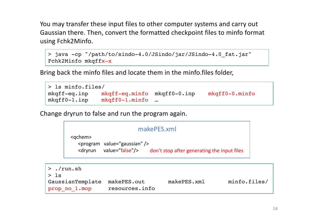You may transfer these input files to other computer systems and carry out Gaussian there. Then, convert the formatted checkpoint files to minfo format using Fchk2Minfo.

```
> java -cp "/path/to/sindo-4.0/JSindo/jar/JSindo-4.0 fat.jar"
Fchk2Minfo mkqffx-x
```
Bring back the minfo files and locate them in the minfo.files folder,

| > ls minfo.files/ |                             |  |                         |  |  |  |  |
|-------------------|-----------------------------|--|-------------------------|--|--|--|--|
| $mkqff-eq.inp$    | mkgff-eq.minfo mkgff0-0.inp |  | $mkqff0-0.\text{minfo}$ |  |  |  |  |
| $mkqff0-1.$ inp   | $mkqff0-1.minfo$            |  |                         |  |  |  |  |

Change dryrun to false and run the program again.

|      | makePES.xml                                                                                                                                       |                               |             |              |  |  |
|------|---------------------------------------------------------------------------------------------------------------------------------------------------|-------------------------------|-------------|--------------|--|--|
|      | $<$ qchem $>$<br><program value="gaussian"></program><br>value="false"/> don't stop after generating the input files<br><dryrun< th=""></dryrun<> |                               |             |              |  |  |
|      | $>$ ./run.sh                                                                                                                                      |                               |             |              |  |  |
| > 1s |                                                                                                                                                   |                               |             |              |  |  |
|      | GaussianTemplate<br>prop no 1.mop                                                                                                                 | makePES.out<br>resources.info | makePES.xml | minfo.files/ |  |  |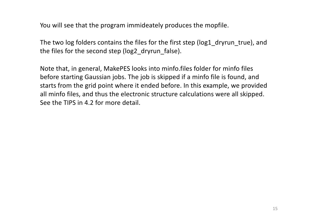You will see that the program immideately produces the mopfile.

The two log folders contains the files for the first step (log1\_dryrun\_true), and the files for the second step (log2\_dryrun\_false).

Note that, in general, MakePES looks into minfo.files folder for minfo files before starting Gaussian jobs. The job is skipped if a minfo file is found, and starts from the grid point where it ended before. In this example, we provided all minfo files, and thus the electronic structure calculations were all skipped. See the TIPS in 4.2 for more detail.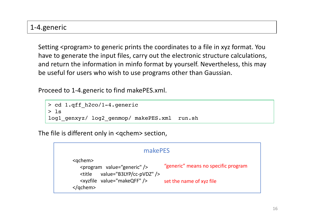### 1-4.generic

Setting <program> to generic prints the coordinates to a file in xyz format. You have to generate the input files, carry out the electronic structure calculations, and return the information in minfo format by yourself. Nevertheless, this may be useful for users who wish to use programs other than Gaussian.

Proceed to 1-4.generic to find makePES.xml.

```
> cd 1.qff_h2co/1-4.generic
> 1slog1_genxyz/ log2_genmop/ makePES.xml run.sh
```
The file is different only in <qchem> section,

| makePES                                                                                                                                                 |                                     |  |  |  |  |  |
|---------------------------------------------------------------------------------------------------------------------------------------------------------|-------------------------------------|--|--|--|--|--|
| $<$ qchem $>$<br><program value="generic"></program><br>value="B3LYP/cc-pVDZ" /><br><title< td=""><td>"generic" means no specific program</td></title<> | "generic" means no specific program |  |  |  |  |  |
| <xyzfile value="makeQFF"></xyzfile><br>$<$ /qchem>                                                                                                      | set the name of xyz file            |  |  |  |  |  |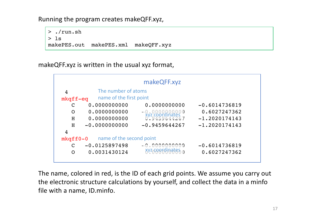Running the program creates makeQFF.xyz,

> ./run.sh  $>$  ls makePES.out makePES.xml makeQFF.xyz

makeQFF.xyz is written in the usual xyz format,



The name, colored in red, is the ID of each grid points. We assume you carry out the electronic structure calculations by yourself, and collect the data in a minfo file with a name, ID.minfo.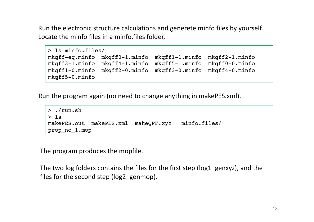Run the electronic structure calculations and generete minfo files by yourself. Locate the minfo files in a minfo.files folder,

```
> ls minfo.files/
mkqff-eq.minfo mkqff0-1.minfo mkqff1-1.minfo mkqff2-1.minfo 
mkqff3-1.minfo mkqff4-1.minfo mkqff5-1.minfo mkqff0-0.minfo 
mkqff1-0.minfo mkqff2-0.minfo mkqff3-0.minfo mkqff4-0.minfo 
mkqff5-0.minfo
```
Run the program again (no need to change anything in makePES.xml).

```
> ./run.sh
> 1smakePES.out makePES.xml makeQFF.xyz minfo.files/ 
prop_no_1.mop
```
The program produces the mopfile.

The two log folders contains the files for the first step (log1\_genxyz), and the files for the second step (log2\_genmop).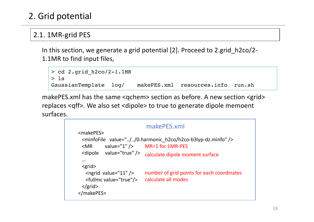# 2. Grid potential

# 2.1. 1MR-grid PES

In this section, we generate a grid potential [2]. Proceed to 2.grid\_h2co/2- 1.1MR to find input files,

```
> cd 2.grid_h2co/2-1.1MR
> ls
GaussianTemplate log/ makePES.xml resources.info run.sh
```
makePES.xml has the same <qchem> section as before. A new section <grid> replaces <qff>. We also set <dipole> to true to generate dipole memoent surfaces.

```
<makePES>
 <minfoFile value="../../0.harmonic_h2co/h2co-b3lyp-dz.minfo" />
 \langle MR \rangle value="1" />
 <dipole value="true" />
 …
 <grid>
   \epsilon <ngrid value="11" \epsilon<fullmc value="true"/>
 </grid>
</makePES> 
                             MR=1 for 1MR-PES
                              makePES.xml
                             calculate dipole moment surface 
                             number of grid points for each coordinates
                           calculate all modes
```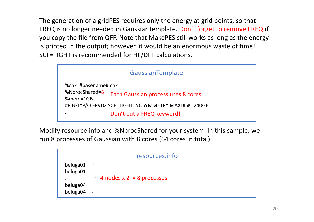The generation of a gridPES requires only the energy at grid points, so that FREQ is no longer needed in GaussianTemplate. Don't forget to remove FREQ if you copy the file from QFF. Note that MakePES still works as long as the energy is printed in the output; however, it would be an enormous waste of time! SCF=TIGHT is recommended for HF/DFT calculations.



Modify resource.info and %NprocShared for your system. In this sample, we run 8 processes of Gaussian with 8 cores (64 cores in total).

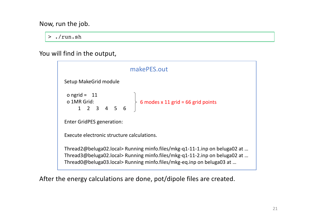Now, run the job.

> ./run.sh

You will find in the output,

| makePES.out                                                                                                                                                                                                                       |  |  |  |  |  |  |
|-----------------------------------------------------------------------------------------------------------------------------------------------------------------------------------------------------------------------------------|--|--|--|--|--|--|
| Setup MakeGrid module                                                                                                                                                                                                             |  |  |  |  |  |  |
| o ngrid = 11<br>o 1MR Grid:<br>1 2 3 4 5 6 6 6 6 6 7 11 grid = 66 grid points                                                                                                                                                     |  |  |  |  |  |  |
| <b>Enter GridPES generation:</b>                                                                                                                                                                                                  |  |  |  |  |  |  |
| Execute electronic structure calculations.                                                                                                                                                                                        |  |  |  |  |  |  |
| Thread2@beluga02.local> Running minfo.files/mkg-q1-11-1.inp on beluga02 at<br>Thread3@beluga02.local> Running minfo.files/mkg-q1-11-2.inp on beluga02 at<br>Thread0@beluga03.local> Running minfo.files/mkg-eq.inp on beluga03 at |  |  |  |  |  |  |

After the energy calculations are done, pot/dipole files are created.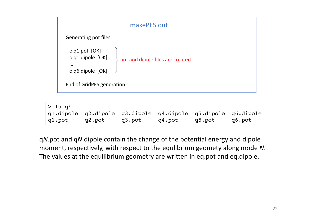

| $>$ 1s q*       |        |        |                                                             |        |
|-----------------|--------|--------|-------------------------------------------------------------|--------|
|                 |        |        | q1.dipole q2.dipole q3.dipole q4.dipole q5.dipole q6.dipole |        |
| gl.pot   g2.pot | q3.pot | q4.pot | q5.pot                                                      | q6.pot |

q*N*.pot and q*N*.dipole contain the change of the potential energy and dipole moment, respectively, with respect to the equlibrium geomety along mode *N*. The values at the equilibrium geometry are written in eq.pot and eq.dipole.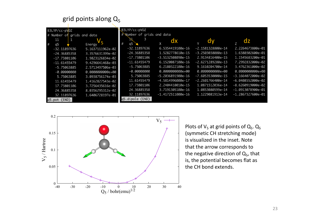#### grid points along  $Q_5$

|   | B3LYP/cc-pVDZ  |                            | B3LYP/cc-pVDZ              |                     |                     |                     |
|---|----------------|----------------------------|----------------------------|---------------------|---------------------|---------------------|
|   |                | # Number of grids and data | # Number of grids and data |                     |                     |                     |
|   | 1<br>11        |                            |                            | dx                  |                     |                     |
| # | q <sub>5</sub> | Energy 5                   | q5                         |                     | dv                  | dz                  |
|   | $-32.11897636$ | 5.1637111962e-02           | -32.11897636               | 6.5354419100e-16    | $-2.1581328800e-14$ | 2.2264673800e-01    |
|   | $-24.36885358$ | 3.3576631399e-02           | $-24.36885358$             | 1.5282778610e-15    | $-3.2503038080e-13$ | 1.6380302600e-01    |
|   | $-17.73801106$ | 1.9823126834e-02           | $-17.73801106$             | $-3.5132508090e-15$ | 2.9134816400e-15    | 1.1545683200e-01    |
|   | $-11.61455479$ | 9.4296641468e-03           | $-11.61455479$             | 6.1520087100e-16    | $-2.6271289280e-13$ | 7.2992832000e-02    |
|   | $-5.75063885$  | 2.5713497506e-03           | $-5.75063885$              | 6.2180322100e-16    | 9.1610204700e-14    | 3.4762361000e-02    |
|   | $-0.00000000$  | $0.00000000000+00$         | $-0.00000000$              | $0.00000000000+00$  | $0.00000000000+00$  | $0.00000000000+00$  |
|   | 5.75063885     | 3.0938756174e-03           | 5.75063885                 | -5.2036891900e-16   | -7.6053530000e-15   | $-3.1664072000e-02$ |
|   | 11.61455479    | 1.4162827543e-02           | 11.61455479                | $-4.5814996000e-17$ | $-2.2601766400e-14$ | $-6.0408552000e-02$ |
|   | 17.73801106    | 3.7256435616e-02           | 17.73801106                | 2.2404410010e-15    | 1.0871512036e-14    | $-8.6260919000e-02$ |
|   | 24.36885358    | 8.0356295312e-02           | 24.36885358                | 3.7191305100e-16    | 1.0853080599e-14    | $-1.0913078900e-01$ |
|   | 32.11897636    | 1.6406728197e-01           | 32.11897636                | $-1.4172511000e-16$ | 1.1229081913e-14    | $-1.2867327600e-01$ |
|   | q5.pot (END)   |                            | q5.dipole (END)            |                     |                     |                     |



Plots of  $V_5$  at grid points of  $Q_5$ .  $Q_5$ (symmetic CH stretching mode) is visualized in the inset. Note that the arrow corresponds to the negative direction of  $Q_5$ , that is, the potential becomes flat as the CH bond extends.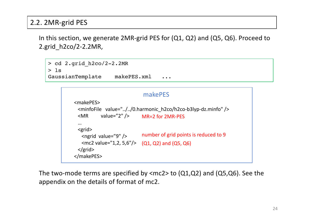## 2.2. 2MR-grid PES

In this section, we generate 2MR-grid PES for (Q1, Q2) and (Q5, Q6). Proceed to 2.grid\_h2co/2-2.2MR,

```
> cd 2.grid_h2co/2-2.2MR
> 1sGaussianTemplate makePES.xml ...
```

```
<makePES>
 <minfoFile value="../../0.harmonic_h2co/h2co-b3lyp-dz.minfo" />
 <MR value="2" />
 …
 <grid>
  <ngrid value="9" />
   <mc2 value="1,2, 5,6"/>
(Q1, Q2) and (Q5, Q6)
 </grid>
</makePES> 
                           MR=2 for 2MR-PES
                           makePES
                           number of grid points is reduced to 9
```
The two-mode terms are specified by  $\langle$  mc2> to (Q1,Q2) and (Q5,Q6). See the appendix on the details of format of mc2.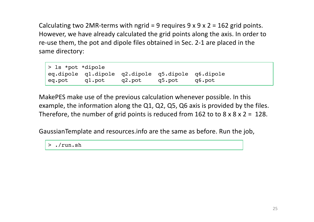Calculating two 2MR-terms with ngrid = 9 requires  $9 \times 9 \times 2 = 162$  grid points. However, we have already calculated the grid points along the axis. In order to re-use them, the pot and dipole files obtained in Sec. 2-1 are placed in the same directory:

> ls \*pot \*dipole eq.dipole q1.dipole q2.dipole q5.dipole q6.dipole eq.pot q1.pot q2.pot q5.pot q6.pot

MakePES make use of the previous calculation whenever possible. In this example, the information along the Q1, Q2, Q5, Q6 axis is provided by the files. Therefore, the number of grid points is reduced from 162 to to  $8 \times 8 \times 2 = 128$ .

GaussianTemplate and resources.info are the same as before. Run the job,

> ./run.sh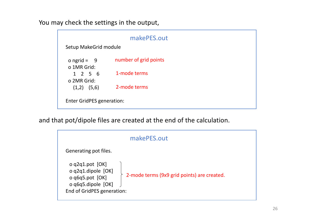You may check the settings in the output,

| makePES.out                      |                       |  |  |  |  |  |  |
|----------------------------------|-----------------------|--|--|--|--|--|--|
| Setup MakeGrid module            |                       |  |  |  |  |  |  |
| o ngrid = $9$<br>o 1MR Grid:     | number of grid points |  |  |  |  |  |  |
| 1256<br>o 2MR Grid:              | 1-mode terms          |  |  |  |  |  |  |
| $(1,2)$ $(5,6)$                  | 2-mode terms          |  |  |  |  |  |  |
| <b>Enter GridPES generation:</b> |                       |  |  |  |  |  |  |

and that pot/dipole files are created at the end of the calculation.

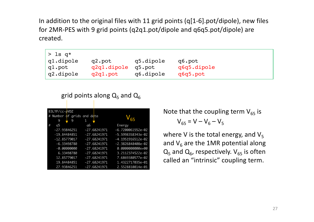In addition to the original files with 11 grid points (q[1-6].pot/dipole), new files for 2MR-PES with 9 grid points (q2q1.pot/dipole and q6q5.pot/dipole) are created.

| $ >$ 1s q*    |             |           |             |
|---------------|-------------|-----------|-------------|
| $ $ q1.dipole | q2.pot      | q5.dipole | q6.pot      |
| gl.pot        | q2q1.dipole | g5.pot    | q6q5.dipole |
| q2.dipole     | q2q1.pot    | q6.dipole | q6q5.pot    |

grid points along  $Q_5$  and  $Q_6$ 

| B3LYP/cc-pVDZ              |    |                |                     |
|----------------------------|----|----------------|---------------------|
| # Number of grids and data |    |                |                     |
| 9<br>9                     | 1  |                |                     |
| #<br>q5                    | q6 |                | Energy              |
| $-27.93846251$             |    | $-27.68241971$ | $-6.7200061552e-02$ |
| $-19.84484851$             |    | $-27.68241971$ | -5.5998358343e-02   |
| $-12.85779017$             |    | $-27.68241971$ | -4.1951916512e-02   |
| $-6.33498780$              |    | $-27.68241971$ | $-2.3826848408e-02$ |
| $-0.00000000$              |    | $-27.68241971$ | $0.00000000000+00$  |
| 6.33498780                 |    | $-27.68241971$ | 3.2112374522e-02    |
| 12.85779017                |    | $-27.68241971$ | 7.6869380577e-02    |
| 19.84484851                |    | $-27.68241971$ | 1.4322717035e-01    |
| 27.93846251                |    | $-27.68241971$ | 2.5528810814e-01    |

Note that the coupling term  $V_{65}$  is  $V_{65} = V - V_6 - V_5$ 

where V is the total energy, and  $V_5$ and  $V_6$  are the 1MR potential along  $Q_5$  and  $Q_6$ , respectively.  $V_{65}$  is often called an "intrinsic" coupling term.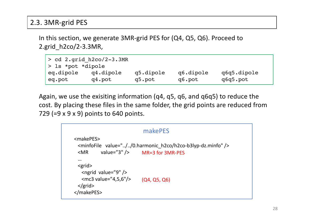## 2.3. 3MR-grid PES

In this section, we generate 3MR-grid PES for (Q4, Q5, Q6). Proceed to 2.grid\_h2co/2-3.3MR,

| $>$ cd 2.grid h2co/2-3.3MR<br>> 1s *pot *dipole |           |           |           |             |  |
|-------------------------------------------------|-----------|-----------|-----------|-------------|--|
| eq.dipole                                       | q4.dipole | q5.dipole | q6.dipole | q6q5.dipole |  |
| eq.pot                                          | q4.pot    | q5.pot    | q6.pot    | q6q5.pot    |  |

Again, we use the exisiting information (q4, q5, q6, and q6q5) to reduce the cost. By placing these files in the same folder, the grid points are reduced from 729 (=9 x 9 x 9) points to 640 points.

```
<makePES>
 <minfoFile value="../../0.harmonic_h2co/h2co-b3lyp-dz.minfo" />
 \langle MR \rangle value="3" />
 …
 <grid>
  <ngrid value="9" />
  <mc3 value="4,5,6"/>
 </grid>
</makePES> 
                       MR=3 for 3MR-PES
                            makePES
                         (Q4, Q5, Q6)
```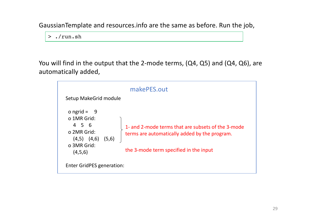GaussianTemplate and resources.info are the same as before. Run the job,

> ./run.sh

You will find in the output that the 2-mode terms, (Q4, Q5) and (Q4, Q6), are automatically added,

| makePES.out<br>Setup MakeGrid module                                                                       |                                                                                                                                               |  |  |  |
|------------------------------------------------------------------------------------------------------------|-----------------------------------------------------------------------------------------------------------------------------------------------|--|--|--|
| o ngrid = $9$<br>o 1MR Grid:<br>4 5 6<br>o 2MR Grid:<br>(5,6)<br>$(4,5)$ $(4,6)$<br>o 3MR Grid:<br>(4,5,6) | 1- and 2-mode terms that are subsets of the 3-mode<br>terms are automatically added by the program.<br>the 3-mode term specified in the input |  |  |  |
| <b>Enter GridPES generation:</b>                                                                           |                                                                                                                                               |  |  |  |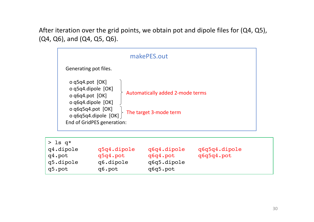After iteration over the grid points, we obtain pot and dipole files for (Q4, Q5), (Q4, Q6), and (Q4, Q5, Q6).

|                                                                                                                                                                  | makePES.out                                                |
|------------------------------------------------------------------------------------------------------------------------------------------------------------------|------------------------------------------------------------|
| Generating pot files.                                                                                                                                            |                                                            |
| o $q5q4$ .pot $[OK]$<br>o q5q4.dipole [OK]<br>o q6q4.pot [OK]<br>o q6q4.dipole [OK]<br>o q6q5q4.pot $[OK]$<br>o q6q5q4.dipole [OK]<br>End of GridPES generation: | Automatically added 2-mode terms<br>The target 3-mode term |

| $>$ 1s q*                                  |                                                |                                                    |                             |
|--------------------------------------------|------------------------------------------------|----------------------------------------------------|-----------------------------|
| q4.dipole<br>q4.pot<br>q5.dipole<br>q5.pot | q5q4.dipole<br>q5q4.pot<br>q6.dipole<br>q6.pot | q6q4.dipole<br>g6q4.pot<br>q6q5.dipole<br>q6q5.pot | q6q5q4.dipole<br>q6q5q4.pot |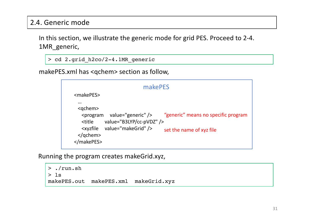## 2.4. Generic mode

In this section, we illustrate the generic mode for grid PES. Proceed to 2-4. 1MR\_generic,

```
> cd 2.grid_h2co/2-4.1MR_generic
```
makePES.xml has <qchem> section as follow,

|                                                                                                                         | makePES                                                                                |                                                                 |
|-------------------------------------------------------------------------------------------------------------------------|----------------------------------------------------------------------------------------|-----------------------------------------------------------------|
| <makepes></makepes>                                                                                                     |                                                                                        |                                                                 |
| $\cdots$<br><gchem><br/><title<br><i><b><u>Exvzfile</u></b></i><br/><math>&lt;</math>/qchem&gt;<br/></title<br></gchem> | <program value="generic"></program><br>value="B3LYP/cc-pVDZ" /><br>value="makeGrid" /> | "generic" means no specific program<br>set the name of xyz file |

Running the program creates makeGrid.xyz,

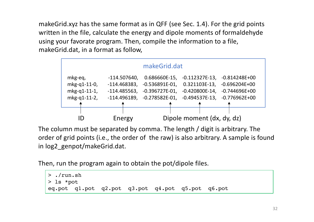makeGrid.xyz has the same format as in QFF (see Sec. 1.4). For the grid points written in the file, calculate the energy and dipole moments of formaldehyde using your favorate program. Then, compile the information to a file, makeGrid.dat, in a format as follow,

|              |                | makeGrid.dat                  |                            |                                   |
|--------------|----------------|-------------------------------|----------------------------|-----------------------------------|
| mkg-eq,      | $-114.507640,$ | $0.686660E-15$ ,              |                            | $-0.112327E-13$ , $-0.814248E+00$ |
| mkg-q1-11-0, | $-114.468383,$ | $-0.536891E-01$               | 0.321103E-13,              | $-0.696204E+00$                   |
| mkg-q1-11-1, | $-114.485563,$ | $-0.396727E-01$ ,             | $-0.420800E-14,$           | $-0.744696E+00$                   |
| mkg-q1-11-2, |                | $-114.496189, -0.278582E-01,$ |                            | $-0.494537E-13$ , $-0.776962E+00$ |
|              |                |                               |                            |                                   |
|              |                |                               |                            |                                   |
|              | Energy         |                               | Dipole moment (dx, dy, dz) |                                   |

The column must be separated by comma. The length / digit is arbitrary. The order of grid points (i.e., the order of the raw) is also arbitrary. A sample is found in log2\_genpot/makeGrid.dat.

Then, run the program again to obtain the pot/dipole files.

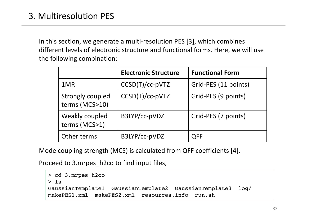In this section, we generate a multi-resolution PES [3], which combines different levels of electronic structure and functional forms. Here, we will use the following combination:

|                                           | <b>Electronic Structure</b> | <b>Functional Form</b> |
|-------------------------------------------|-----------------------------|------------------------|
| 1MR                                       | $CCSD(T)/cc-pVTZ$           | Grid-PES (11 points)   |
| <b>Strongly coupled</b><br>terms (MCS>10) | CCSD(T)/cc-pVTZ             | Grid-PES (9 points)    |
| Weakly coupled<br>terms (MCS>1)           | B3LYP/cc-pVDZ               | Grid-PES (7 points)    |
| Other terms                               | B3LYP/cc-pVDZ               | <b>QFF</b>             |

Mode coupling strength (MCS) is calculated from QFF coefficients [4].

Proceed to 3.mrpes\_h2co to find input files,

```
> cd 3.mrpes_h2co
> ls
GaussianTemplate1 GaussianTemplate2 GaussianTemplate3 log/ 
makePES1.xml makePES2.xml resources.info run.sh
```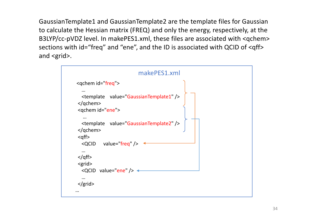GaussianTemplate1 and GaussianTemplate2 are the template files for Gaussian to calculate the Hessian matrix (FREQ) and only the energy, respectively, at the B3LYP/cc-pVDZ level. In makePES1.xml, these files are associated with <qchem> sections with id="freq" and "ene", and the ID is associated with QCID of <qff> and <grid>.

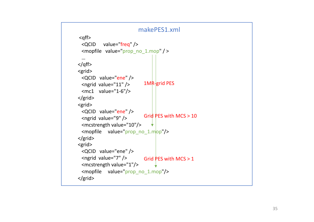```
<qff
>
 <QCID value="freq" /> <mopfile value="prop_no_1.mop" / > …
</qff
>
<grid>
 <QCID value="ene" /> <ngrid value="11" />
 <mc1 value="1
-6"/>
</grid>
<grid>
 <QCID value="ene" /> <ngrid value="9" /> <mcstrength value="10"/> \langle \text{mopfile} \rangle value="prop_no_1.mop"/>
</grid>
<grid>
 <QCID value="ene" /> <ngrid value="7" /> <mcstrength value="1"/> <mopfile value="prop_no_1.mop"/>
</grid>
                         makePES1.xml
                            1MR
-grid PES
                           Grid PES with MCS > 10
                           Grid PES with MCS > 1
```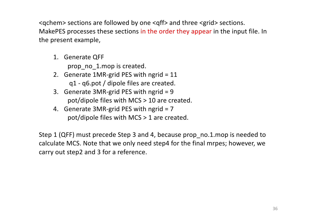<qchem> sections are followed by one <qff> and three <grid> sections. MakePES processes these sections in the order they appear in the input file. In the present example,

1. Generate QFF

prop\_no\_1.mop is created.

- 2. Generate 1MR-grid PES with ngrid = 11 q1 - q6.pot / dipole files are created.
- 3. Generate 3MR-grid PES with ngrid = 9 pot/dipole files with MCS > 10 are created.
- 4. Generate 3MR-grid PES with ngrid = 7 pot/dipole files with MCS > 1 are created.

Step 1 (QFF) must precede Step 3 and 4, because prop\_no.1.mop is needed to calculate MCS. Note that we only need step4 for the final mrpes; however, we carry out step2 and 3 for a reference.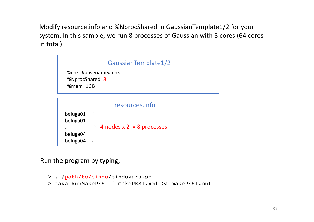Modify resource.info and %NprocShared in GaussianTemplate1/2 for your system. In this sample, we run 8 processes of Gaussian with 8 cores (64 cores in total).



Run the program by typing,

```
> . /path/to/sindo/sindovars.sh
> java RunMakePES –f makePES1.xml >& makePES1.out
```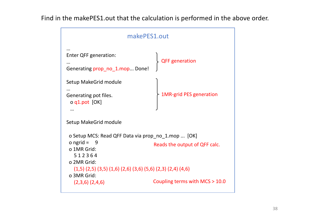Find in the makePES1.out that the calculation is performed in the above order.

| makePES1.out                                                                                                     |                                |  |  |
|------------------------------------------------------------------------------------------------------------------|--------------------------------|--|--|
| Enter QFF generation:<br><br>Generating prop_no_1.mop Done!                                                      | <b>QFF</b> generation          |  |  |
| Setup MakeGrid module<br>Generating pot files.<br>o q1.pot [OK]                                                  | <b>1MR-grid PES generation</b> |  |  |
| Setup MakeGrid module                                                                                            |                                |  |  |
| o Setup MCS: Read QFF Data via prop no 1.mop  [OK]<br>o ngrid $=$<br>- 9<br>o 1MR Grid:<br>512364<br>o 2MR Grid: | Reads the output of QFF calc.  |  |  |
| $(1,5)$ $(2,5)$ $(3,5)$ $(1,6)$ $(2,6)$ $(3,6)$ $(5,6)$ $(2,3)$ $(2,4)$ $(4,6)$<br>o 3MR Grid:                   |                                |  |  |
| $(2,3,6)$ $(2,4,6)$                                                                                              | Coupling terms with MCS > 10.0 |  |  |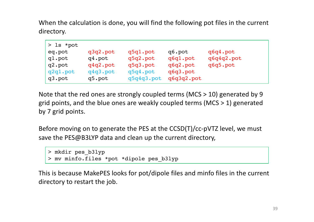When the calculation is done, you will find the following pot files in the current directory.

| $>$ 1s *pot |          |            |            |            |
|-------------|----------|------------|------------|------------|
| eq.pot      | q3q2.pot | q5q1.pot   | q6.pot     | q6q4.pot   |
| q1.pot      | q4.pot   | q5q2.pot   | q6q1.pot   | q6q4q2.pot |
| q2.pot      | q4q2.pot | q5q3.pot   | q6q2.pot   | q6q5.pot   |
| q2q1.pot    | q4q3.pot | q5q4.pot   | q6q3.pot   |            |
| q3.pot      | q5.pot   | q5q4q3.pot | q6q3q2.pot |            |

Note that the red ones are strongly coupled terms (MCS > 10) generated by 9 grid points, and the blue ones are weakly coupled terms (MCS > 1) generated by 7 grid points.

Before moving on to generate the PES at the CCSD(T)/cc-pVTZ level, we must save the PES@B3LYP data and clean up the current directory,

```
> mkdir pes_b3lyp
> mv minfo.files *pot *dipole pes_b3lyp
```
This is because MakePES looks for pot/dipole files and minfo files in the current directory to restart the job.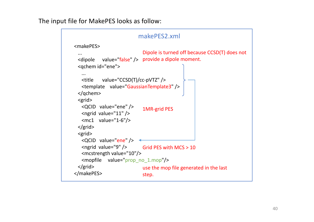The input file for MakePES looks as follow:

```
<makePES>
 ...
 <dipole value="false" /> provide a dipole moment.
 <qchem id="ene">
   ...
   <title value="CCSD(T)/cc-pVTZ" />
   <template value="GaussianTemplate3" />
 </qchem>
 <grid>
   <QCID value="ene" />
   <ngrid value="11" />
   <mc1 value="1-6"/>
 </grid>
 <grid>
   <QCID value="ene" />
   \epsilon <ngrid value="9" \ell >
   <mcstrength value="10"/>
   <mopfile value="prop_no_1.mop"/>
 </grid>
</makePES>
                          makePES2.xml
                            Dipole is turned off because CCSD(T) does not 
                            use the mop file generated in the last 
                            step.
                            1MR-grid PES
                            Grid PES with MCS > 10
```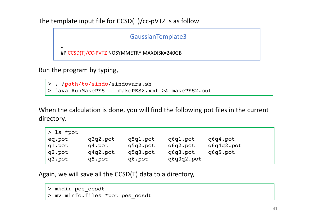The template input file for CCSD(T)/cc-pVTZ is as follow

GaussianTemplate3

#P CCSD(T)/CC-PVTZ NOSYMMETRY MAXDISK=240GB

Run the program by typing,

…

> . /path/to/sindo/sindovars.sh

> java RunMakePES –f makePES2.xml >& makePES2.out

When the calculation is done, you will find the following pot files in the current directory.

| $>$ 1s *pot |          |          |            |            |
|-------------|----------|----------|------------|------------|
| eq.pot      | q3q2.pot | q5q1.pot | q6q1.pot   | q6q4.pot   |
| ql.pot      | q4.pot   | q5q2.pot | q6q2.pot   | q6q4q2.pot |
| q2.pot      | q4q2.pot | q5q3.pot | q6q3.pot   | q6q5.pot   |
| q3.pot      | q5.pot   | q6.pot   | q6q3q2.pot |            |

Again, we will save all the CCSD(T) data to a directory,

```
> mkdir pes_ccsdt
```
> mv minfo.files \*pot pes\_ccsdt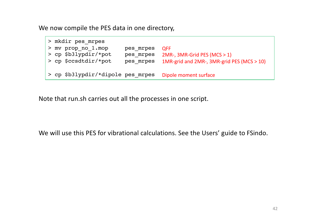We now compile the PES data in one directory,



Note that run.sh carries out all the processes in one script.

We will use this PES for vibrational calculations. See the Users' guide to FSindo.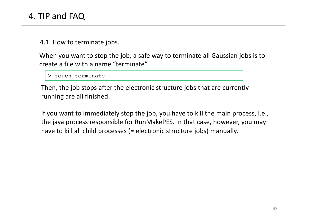4.1. How to terminate jobs.

When you want to stop the job, a safe way to terminate all Gaussian jobs is to create a file with a name "terminate".

> touch terminate

Then, the job stops after the electronic structure jobs that are currently running are all finished.

If you want to immediately stop the job, you have to kill the main process, i.e., the java process responsible for RunMakePES. In that case, however, you may have to kill all child processes (= electronic structure jobs) manually.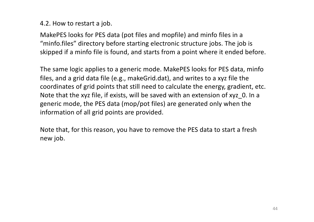#### 4.2. How to restart a job.

MakePES looks for PES data (pot files and mopfile) and minfo files in a "minfo.files" directory before starting electronic structure jobs. The job is skipped if a minfo file is found, and starts from a point where it ended before.

The same logic applies to a generic mode. MakePES looks for PES data, minfo files, and a grid data file (e.g., makeGrid.dat), and writes to a xyz file the coordinates of grid points that still need to calculate the energy, gradient, etc. Note that the xyz file, if exists, will be saved with an extension of xyz\_0. In a generic mode, the PES data (mop/pot files) are generated only when the information of all grid points are provided.

Note that, for this reason, you have to remove the PES data to start a fresh new job.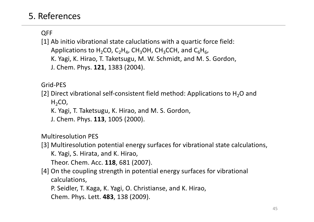# 5. References

# QFF

[1] Ab initio vibrational state caluclations with a quartic force field: Applications to  $H_2CO$ ,  $C_2H_4$ , CH<sub>3</sub>OH, CH<sub>3</sub>CCH, and C<sub>6</sub>H<sub>6</sub>, K. Yagi, K. Hirao, T. Taketsugu, M. W. Schmidt, and M. S. Gordon, J. Chem. Phys. **121**, 1383 (2004).

Grid-PES

[2] Direct vibrational self-consistent field method: Applications to  $H_2O$  and

 $H<sub>2</sub>CO$ 

K. Yagi, T. Taketsugu, K. Hirao, and M. S. Gordon,

J. Chem. Phys. **113**, 1005 (2000).

Multiresolution PES

[3] Multiresolution potential energy surfaces for vibrational state calculations, K. Yagi, S. Hirata, and K. Hirao,

Theor. Chem. Acc. **118**, 681 (2007).

[4] On the coupling strength in potential energy surfaces for vibrational calculations,

P. Seidler, T. Kaga, K. Yagi, O. Christianse, and K. Hirao,

Chem. Phys. Lett. **483**, 138 (2009).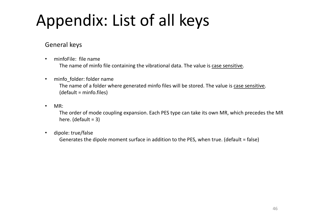# Appendix: List of all keys

#### General keys

- minfoFile: file name The name of minfo file containing the vibrational data. The value is case sensitive.
- minfo folder: folder name The name of a folder where generated minfo files will be stored. The value is case sensitive. (default = minfo.files)
- MR:

The order of mode coupling expansion. Each PES type can take its own MR, which precedes the MR here. (default  $= 3$ )

• dipole: true/false

Generates the dipole moment surface in addition to the PES, when true. (default = false)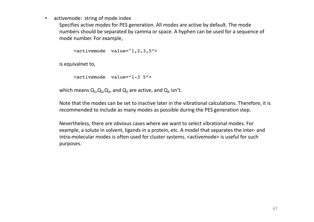activemode: string of mode index

Specifies active modes for PES generation. All modes are active by default. The mode numbers should be separated by camma or space. A hyphen can be used for a sequence of mode number. For example,

<activemode value="1,2,3,5">

is equivalnet to,

```
<activemode value="1-3 5">
```
which means  $Q_1$ ,  $Q_2$ ,  $Q_3$ , and  $Q_5$  are active, and  $Q_4$  isn't.

Note that the modes can be set to inactive later in the vibrational calculations. Therefore, it is recommended to include as many modes as possible during the PES generation step.

Nevertheless, there are obvious cases where we want to select vibrational modes. For example, a solute in solvent, ligands in a protein, etc. A model that separates the inter- and intra-molecular modes is often used for cluster systems. <activemode> is useful for such purposes.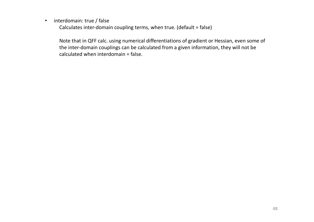• interdomain: true / false

Calculates inter-domain coupling terms, when true. (default = false)

Note that in QFF calc. using numerical differentiations of gradient or Hessian, even some of the inter-domain couplings can be calculated from a given information, they will not be calculated when interdomain = false.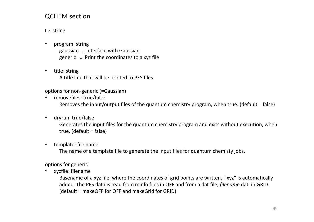#### QCHEM section

ID: string

- program: string gaussian … Interface with Gaussian generic … Print the coordinates to a xyz file
- title: string A title line that will be printed to PES files.

options for non-generic (=Gaussian)

- removefiles: true/false Removes the input/output files of the quantum chemistry program, when true. (default = false)
- dryrun: true/false

Generates the input files for the quantum chemistry program and exits without execution, when true. (default = false)

• template: file name

The name of a template file to generate the input files for quantum chemisty jobs.

options for generic

• xyzfile: filename

Basename of a xyz file, where the coordinates of grid points are written. ".xyz" is automatically added. The PES data is read from minfo files in QFF and from a dat file, *filename*.dat, in GRID. (default = makeQFF for QFF and makeGrid for GRID)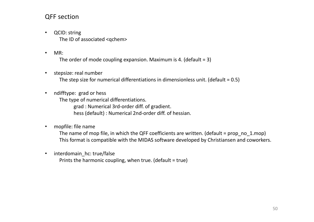#### QFF section

- QCID: string The ID of associated <qchem>
- MR:

The order of mode coupling expansion. Maximum is 4. (default = 3)

stepsize: real number

The step size for numerical differentiations in dimensionless unit. (default = 0.5)

• ndifftype: grad or hess

The type of numerical differentiations.

grad : Numerical 3rd-order diff. of gradient.

hess (default) : Numerical 2nd-order diff. of hessian.

• mopfile: file name

The name of mop file, in which the QFF coefficients are written. (default = prop\_no\_1.mop) This format is compatible with the MIDAS software developed by Christiansen and coworkers.

• interdomain hc: true/false Prints the harmonic coupling, when true. (default = true)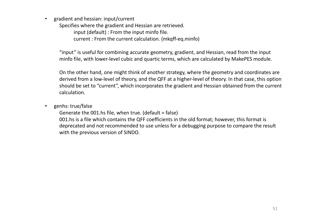• gradient and hessian: input/current

Specifies where the gradient and Hessian are retrieved.

input (default) : From the input minfo file.

current : From the current calculation. (mkqff-eq.minfo)

"input" is useful for combining accurate geometry, gradient, and Hessian, read from the input minfo file, with lower-level cubic and quartic terms, which are calculated by MakePES module.

On the other hand, one might think of another strategy, where the geometry and coordinates are derived from a low-level of theory, and the QFF at a higher-level of theory. In that case, this option should be set to "current", which incorporates the gradient and Hessian obtained from the current calculation.

• genhs: true/false

Generate the 001.hs file, when true. (default = false) 001.hs is a file which contains the QFF coefficients in the old format; however, this format is deprecated and not recommended to use unless for a debugging purpose to compare the result with the previous version of SINDO.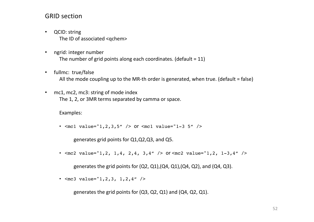#### GRID section

- QCID: string The ID of associated <qchem>
- ngrid: integer number The number of grid points along each coordinates. (default  $= 11$ )
- fullmc: true/false All the mode coupling up to the MR-th order is generated, when true. (default = false)
- mc1, mc2, mc3: string of mode index The 1, 2, or 3MR terms separated by camma or space.

Examples:

•  $\text{cmcl value}="1, 2, 3, 5"$  /> or  $\text{cmcl value}="1-3 5"$  />

generates grid points for Q1,Q2,Q3, and Q5.

•  $\leq$ mc2 value="1,2, 1,4, 2,4, 3,4" /> or  $\leq$ mc2 value="1,2, 1-3,4" />

generates the grid points for  $(Q2, Q1)$ ,  $(Q4, Q1)$ ,  $(Q4, Q2)$ , and  $(Q4, Q3)$ .

•  $<$ mc3 value="1,2,3, 1,2,4" />

generates the grid points for (Q3, Q2, Q1) and (Q4, Q2, Q1).